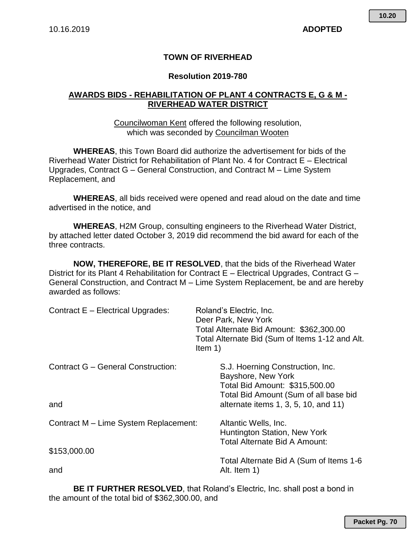# **TOWN OF RIVERHEAD**

### **Resolution 2019-780**

# **AWARDS BIDS - REHABILITATION OF PLANT 4 CONTRACTS E, G & M - RIVERHEAD WATER DISTRICT**

Councilwoman Kent offered the following resolution, which was seconded by Councilman Wooten

**WHEREAS**, this Town Board did authorize the advertisement for bids of the Riverhead Water District for Rehabilitation of Plant No. 4 for Contract E – Electrical Upgrades, Contract G – General Construction, and Contract M – Lime System Replacement, and

**WHEREAS**, all bids received were opened and read aloud on the date and time advertised in the notice, and

**WHEREAS**, H2M Group, consulting engineers to the Riverhead Water District, by attached letter dated October 3, 2019 did recommend the bid award for each of the three contracts.

**NOW, THEREFORE, BE IT RESOLVED**, that the bids of the Riverhead Water District for its Plant 4 Rehabilitation for Contract E – Electrical Upgrades, Contract G – General Construction, and Contract M – Lime System Replacement, be and are hereby awarded as follows:

| Contract E - Electrical Upgrades:         | Roland's Electric, Inc.<br>Deer Park, New York<br>Total Alternate Bid Amount: \$362,300.00<br>Total Alternate Bid (Sum of Items 1-12 and Alt.<br>Item $1)$ |
|-------------------------------------------|------------------------------------------------------------------------------------------------------------------------------------------------------------|
| <b>Contract G - General Construction:</b> | S.J. Hoerning Construction, Inc.<br>Bayshore, New York<br>Total Bid Amount: \$315,500.00<br>Total Bid Amount (Sum of all base bid                          |
| and                                       | alternate items 1, 3, 5, 10, and 11)                                                                                                                       |
| Contract M - Lime System Replacement:     | Altantic Wells, Inc.<br>Huntington Station, New York<br>Total Alternate Bid A Amount:                                                                      |
| \$153,000.00                              |                                                                                                                                                            |
| and                                       | Total Alternate Bid A (Sum of Items 1-6<br>Alt. Item 1)                                                                                                    |

**BE IT FURTHER RESOLVED**, that Roland's Electric, Inc. shall post a bond in the amount of the total bid of \$362,300.00, and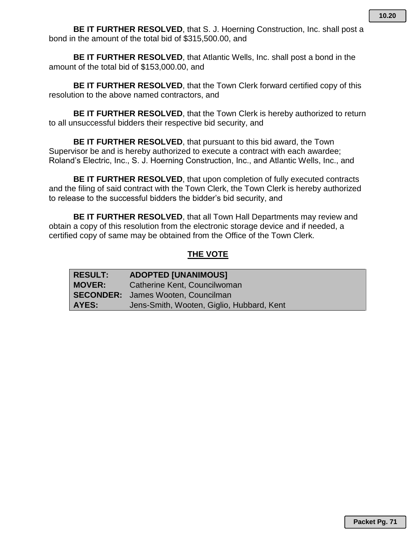**BE IT FURTHER RESOLVED**, that S. J. Hoerning Construction, Inc. shall post a bond in the amount of the total bid of \$315,500.00, and

**BE IT FURTHER RESOLVED**, that Atlantic Wells, Inc. shall post a bond in the amount of the total bid of \$153,000.00, and

**BE IT FURTHER RESOLVED**, that the Town Clerk forward certified copy of this resolution to the above named contractors, and

**BE IT FURTHER RESOLVED**, that the Town Clerk is hereby authorized to return to all unsuccessful bidders their respective bid security, and

**BE IT FURTHER RESOLVED**, that pursuant to this bid award, the Town Supervisor be and is hereby authorized to execute a contract with each awardee; Roland's Electric, Inc., S. J. Hoerning Construction, Inc., and Atlantic Wells, Inc., and

**BE IT FURTHER RESOLVED**, that upon completion of fully executed contracts and the filing of said contract with the Town Clerk, the Town Clerk is hereby authorized to release to the successful bidders the bidder's bid security, and

**BE IT FURTHER RESOLVED**, that all Town Hall Departments may review and obtain a copy of this resolution from the electronic storage device and if needed, a certified copy of same may be obtained from the Office of the Town Clerk*.*

# **THE VOTE**

| RESULT:       | <b>ADOPTED [UNANIMOUS]</b>                |
|---------------|-------------------------------------------|
| <b>MOVER:</b> | Catherine Kent, Councilwoman              |
|               | <b>SECONDER:</b> James Wooten, Councilman |
| <b>AYES:</b>  | Jens-Smith, Wooten, Giglio, Hubbard, Kent |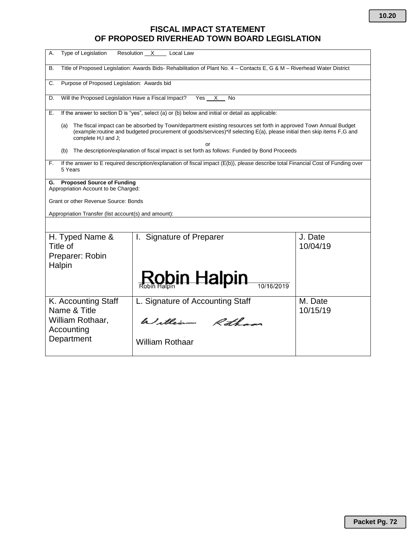# **FISCAL IMPACT STATEMENT OF PROPOSED RIVERHEAD TOWN BOARD LEGISLATION**

| Type of Legislation<br>А.                                                                                                            | Resolution X<br>Local Law                                                                                                                                                                                                                        |                     |  |  |  |  |  |  |  |
|--------------------------------------------------------------------------------------------------------------------------------------|--------------------------------------------------------------------------------------------------------------------------------------------------------------------------------------------------------------------------------------------------|---------------------|--|--|--|--|--|--|--|
| Title of Proposed Legislation: Awards Bids-Rehabilitation of Plant No. 4 - Contacts E, G & M - Riverhead Water District<br><b>B.</b> |                                                                                                                                                                                                                                                  |                     |  |  |  |  |  |  |  |
| Purpose of Proposed Legislation: Awards bid<br>C.                                                                                    |                                                                                                                                                                                                                                                  |                     |  |  |  |  |  |  |  |
| Will the Proposed Legislation Have a Fiscal Impact?<br>D.                                                                            | Yes<br>X<br>No                                                                                                                                                                                                                                   |                     |  |  |  |  |  |  |  |
| Е.                                                                                                                                   | If the answer to section D is "yes", select (a) or (b) below and initial or detail as applicable:                                                                                                                                                |                     |  |  |  |  |  |  |  |
| (a)<br>complete H,I and J;                                                                                                           | The fiscal impact can be absorbed by Town/department existing resources set forth in approved Town Annual Budget<br>(example:routine and budgeted procurement of goods/services)*if selecting E(a), please initial then skip items F,G and<br>or |                     |  |  |  |  |  |  |  |
| (b)                                                                                                                                  | The description/explanation of fiscal impact is set forth as follows: Funded by Bond Proceeds                                                                                                                                                    |                     |  |  |  |  |  |  |  |
| F.<br>5 Years                                                                                                                        | If the answer to E required description/explanation of fiscal impact (E(b)), please describe total Financial Cost of Funding over                                                                                                                |                     |  |  |  |  |  |  |  |
| G. Proposed Source of Funding<br>Appropriation Account to be Charged:                                                                |                                                                                                                                                                                                                                                  |                     |  |  |  |  |  |  |  |
| Grant or other Revenue Source: Bonds                                                                                                 |                                                                                                                                                                                                                                                  |                     |  |  |  |  |  |  |  |
| Appropriation Transfer (list account(s) and amount):                                                                                 |                                                                                                                                                                                                                                                  |                     |  |  |  |  |  |  |  |
|                                                                                                                                      |                                                                                                                                                                                                                                                  |                     |  |  |  |  |  |  |  |
| H. Typed Name &<br>Title of<br>Preparer: Robin                                                                                       | <b>Signature of Preparer</b><br>L.                                                                                                                                                                                                               | J. Date<br>10/04/19 |  |  |  |  |  |  |  |
| Halpin                                                                                                                               |                                                                                                                                                                                                                                                  |                     |  |  |  |  |  |  |  |
|                                                                                                                                      | <u>Rob</u> in Halpin                                                                                                                                                                                                                             |                     |  |  |  |  |  |  |  |
| K. Accounting Staff<br>Name & Title                                                                                                  | L. Signature of Accounting Staff                                                                                                                                                                                                                 | M. Date<br>10/15/19 |  |  |  |  |  |  |  |
| William Rothaar,<br>Accounting                                                                                                       | William Rothans                                                                                                                                                                                                                                  |                     |  |  |  |  |  |  |  |
| Department                                                                                                                           | <b>William Rothaar</b>                                                                                                                                                                                                                           |                     |  |  |  |  |  |  |  |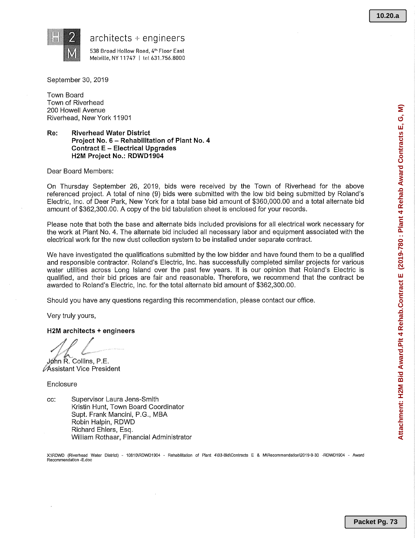**Attachment: H2M Bid Award.Plt 4 Rehab.Contract E (2019-780 : Plant 4 Rehab Award Contracts E, G, M)**

Attachment: H2M Bid Award.Plt 4 Rehab.Contract E (2019-780 : Plant 4 Rehab Award Contracts E, G, M)



### $architects + engineering$

538 Broad Hollow Road, 4<sup>th</sup> Floor East Melville, NY 11747 | tet 631.756.8000

September 30, 2019

Town Board Town of Riverhead 200 Howell Avenue Riverhead, New York 11901

### Re: Riverhead Water District Project No. 6 —Rehabilitation of Plant No. 4 Contract E —Electrical Upgrades H2M Project No.: RDWD1904

Dear Board Members:

On Thursday September 26, 2019, bids were received by the Town of Riverhead for the above referenced project. A total of nine (9) bids were submitted with the low bid being submitted by Roland's Electric, Inc. of Deer Park, New York for a total base bid amount of \$360,000.00 and a total alternate bid amount of \$362,300.00. A copy of the bid tabulation sheet is enclosed for your records.

Please note that both the base and alternate bids included provisions for all electrical work necessary for the work at Plant No. 4. The alternate bid included all necessary labor and equipment associated with the electrical work for the new dust collection system to be installed under separate contract.

We have investigated the qualifications submitted by the low bidder and have found them to be a qualified and responsible contractor. Roland's Electric, Inc. has successfully completed similar projects for various water utilities across Long Island over the past few years. It is our opinion that Roland's Electric is qualified, and their bid prices are fair and reasonable. Therefore, we recommend that the contract be awarded to Roland's Electric, Inc. for the total alternate bid amount of \$362,300.00.

Should you have any questions regarding this recommendation, please contact our office.

Very truly yours,

### H2M architects +engineers

John R. Collins, P.E.

Assistant Vice President

**Enclosure** 

cc: Supervisor Laura Jens-Smith Kristin Hunt, Town Board Coordinator Supt. Frank Mancini, P.G., MBA Robin Halpin, RDWD Richard Ehlers, Esq. William Rothaar, Financial Administrator

X:\RDWD (Riverhead Water District) - 10810\RDWD1904 - Rehabilitation of Plant 4\03-Bid\Contracts E & M\Recommendation\2019-9-30 -RDWD1904 - Award Recommendation -E,doc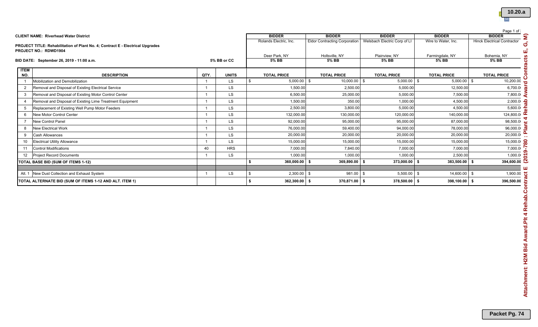|                   |                                                                                |      |              |                        |                                      |                              |                     | Page 1 of                          |  |
|-------------------|--------------------------------------------------------------------------------|------|--------------|------------------------|--------------------------------------|------------------------------|---------------------|------------------------------------|--|
|                   | <b>CLIENT NAME: Riverhead Water District</b>                                   |      |              | <b>BIDDER</b>          | <b>BIDDER</b>                        | <b>BIDDER</b>                | <b>BIDDER</b>       | <b>BIDDER</b>                      |  |
|                   | PROJECT TITLE: Rehabilitation of Plant No. 4; Contract E - Electrical Upgrades |      |              | Rolands Electric. Inc. | <b>Eldor Contracting Corporation</b> | Welsbach Electric Corp of LI | Wire to Water, Inc. | <b>Hinck Electrical Contractor</b> |  |
|                   | <b>PROJECT NO.: RDWD1904</b>                                                   |      |              |                        |                                      |                              |                     |                                    |  |
|                   |                                                                                |      |              | Deer Park, NY          | Holtsville, NY                       | Plainview, NY                | Farmingdale, NY     | Bohemia, NY                        |  |
|                   | BID DATE: September 26, 2019 - 11:00 a.m.                                      |      | 5% BB or CC  | 5% BB                  | 5% BB                                | 5% BB                        | 5% BB               | 5% BB                              |  |
| <b>ITEM</b>       |                                                                                |      |              |                        |                                      |                              |                     |                                    |  |
| NO.               | <b>DESCRIPTION</b>                                                             | QTY. | <b>UNITS</b> | <b>TOTAL PRICE</b>     | <b>TOTAL PRICE</b>                   | <b>TOTAL PRICE</b>           | <b>TOTAL PRICE</b>  | <b>TOTAL PRICE</b>                 |  |
|                   | Mobilization and Demobilization                                                |      | <b>LS</b>    | $5.000.00$ \$          | $10,000.00$ \$                       | $5,000.00$ \$                | 5.000.00            | 10,200.00                          |  |
| $\overline{2}$    | Removal and Disposal of Existing Electrical Service                            |      | <b>LS</b>    | 1,500.00               | 2,500.00                             | 5,000.00                     | 12,500.00           | 6,700.0                            |  |
| $\mathbf{3}$      | Removal and Disposal of Existing Motor Control Center                          |      | <b>LS</b>    | 6,500.00               | 25,000.00                            | 5,000.00                     | 7,500.00            | 7,800.0                            |  |
|                   | Removal and Disposal of Existing Lime Treatment Equipment                      |      | LS           | 1,500.00               | 350.00                               | 1,000.00                     | 4,500.00            | 2,000.0                            |  |
|                   | Replacement of Existing Well Pump Motor Feeders                                |      | <b>LS</b>    | 2,500.00               | 3.800.00                             | 5.000.00                     | 4,500.00            | 5,600.0                            |  |
|                   | <b>New Motor Control Center</b>                                                |      | LS.          | 132,000.00             | 130,000.00                           | 120,000.00                   | 140,000.00          | 124,800.0                          |  |
|                   | New Control Panel                                                              |      | <b>LS</b>    | 92,000.00              | 95,000.00                            | 95,000.00                    | 87.000.00           | 98,500.0                           |  |
|                   | <b>New Electrical Work</b>                                                     |      | <b>LS</b>    | 76,000.00              | 59,400.00                            | 94,000.00                    | 78,000.00           | 96,000.0                           |  |
| -9                | <b>Cash Allowances</b>                                                         |      | <b>LS</b>    | 20,000.00              | 20,000.00                            | 20,000.00                    | 20,000.00           | 20,000.0                           |  |
| 10 <sup>°</sup>   | <b>Electrical Utility Allowance</b>                                            |      | <b>LS</b>    | 15,000.00              | 15,000.00                            | 15,000.00                    | 15,000.00           | 15,000.0                           |  |
| 11                | <b>Control Modifications</b>                                                   | 40   | <b>HRS</b>   | 7.000.00               | 7.840.00                             | 7.000.00                     | 7.000.00            | 7,000.0                            |  |
| $12 \overline{ }$ | <b>Project Record Documents</b>                                                |      | <b>LS</b>    | 1,000.00               | 1,000.00                             | 1,000.00                     | 2,500.00            | 1,000.0                            |  |
|                   | TOTAL BASE BID (SUM OF ITEMS 1-12)                                             |      |              | $360,000.00$ \$        | 369,890.00 \$                        | 373,000.00                   | 383,500.00          | 394,600.00                         |  |
| Alt. 1            | New Dust Collection and Exhaust System                                         |      | <b>LS</b>    | $2,300.00$ \$          | 981.00 \$                            | 5,500.00                     | 14,600.00           | 1,900.00                           |  |
|                   |                                                                                |      |              |                        |                                      |                              |                     |                                    |  |
|                   | TOTAL ALTERNATE BID (SUM OF ITEMS 1-12 AND ALT. ITEM 1)                        |      |              | $362,300.00$ \$        | 370,871.00 \$                        | 378,500.00                   | 398,100.00          | 396,500.00                         |  |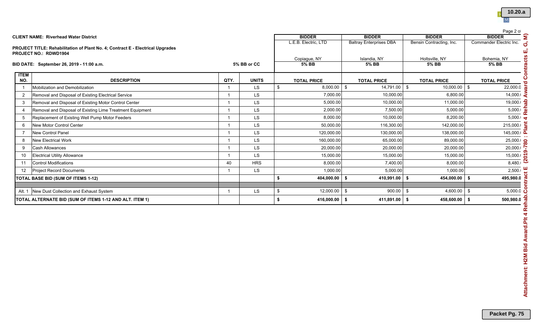

|                    | <b>CLIENT NAME: Riverhead Water District</b>                                   |                |              | <b>BIDDER</b>           | <b>BIDDER</b>                  | <b>BIDDER</b>                  | Page 2 of<br><b>BIDDER</b>                      |  |
|--------------------|--------------------------------------------------------------------------------|----------------|--------------|-------------------------|--------------------------------|--------------------------------|-------------------------------------------------|--|
|                    |                                                                                |                |              | L.E.B. Electric, LTD    | <b>Baltray Enterprises DBA</b> | Bensin Contracting, Inc.       | Commander Electric Inc.                         |  |
|                    | PROJECT TITLE: Rehabilitation of Plant No. 4; Contract E - Electrical Upgrades |                |              |                         |                                |                                |                                                 |  |
|                    | <b>PROJECT NO.: RDWD1904</b>                                                   |                |              |                         |                                |                                |                                                 |  |
|                    | BID DATE: September 26, 2019 - 11:00 a.m.                                      |                | 5% BB or CC  | Copiague, NY<br>$5%$ BB | Islandia, NY<br>5% BB          | Holtsville, NY<br>$5%$ BB      | Bohemia, NY<br><b>5% BB</b>                     |  |
|                    |                                                                                |                |              |                         |                                |                                |                                                 |  |
| <b>ITEM</b><br>NO. | <b>DESCRIPTION</b>                                                             | QTY.           | <b>UNITS</b> | <b>TOTAL PRICE</b>      | <b>TOTAL PRICE</b>             | <b>TOTAL PRICE</b>             | <b>TOTAL PRICE</b>                              |  |
| $\overline{1}$     | Mobilization and Demobilization                                                | $\overline{1}$ | <b>LS</b>    | \$<br>$8,000.00$ \$     | 14,791.00 \$                   | $10,000.00$ \$                 | 22,000.0                                        |  |
| $\overline{2}$     | Removal and Disposal of Existing Electrical Service                            | $\overline{1}$ | LS           | 7,000.00                | 10,000.00                      | 6,800.00                       | 14,000.                                         |  |
| 3                  | Removal and Disposal of Existing Motor Control Center                          | $\overline{1}$ | LS.          | 5,000.00                | 10,000.00                      | 11,000.00                      | $19,000$ .                                      |  |
| $\overline{4}$     | Removal and Disposal of Existing Lime Treatment Equipment                      | $\overline{1}$ | LS.          | 2,000.00                | 7,500.00                       | 5,000.00                       | $\frac{5,000}{2}$                               |  |
| 5                  | Replacement of Existing Well Pump Motor Feeders                                | $\overline{1}$ | LS.          | 8,000.00                | 10,000.00                      | 8,200.00                       | $5,000 \times \overline{4}$                     |  |
| 6                  | New Motor Control Center                                                       | $\overline{1}$ | LS.          | 50,000.00               | 116,300.00                     | 142,000.00                     | 215,000.1                                       |  |
| $\overline{7}$     | <b>New Control Panel</b>                                                       | $\overline{1}$ | <b>LS</b>    | 120,000.00              | 130,000.00                     | 138,000.00                     | $145,000 \times \overline{\text{A}}$            |  |
| 8                  | New Electrical Work                                                            | $\overline{1}$ | LS.          | 160,000.00              | 65,000.00                      | 89,000.00                      | $\frac{25,000}{8}$                              |  |
| 9                  | Cash Allowances                                                                | $\overline{1}$ | LS           | 20,000.00               | 20,000.00                      | 20,000.00                      | 20,000.0                                        |  |
| 10                 | <b>Electrical Utility Allowance</b>                                            | $\overline{1}$ | <b>LS</b>    | 15,000.00               | 15,000.00                      | 15,000.00                      |                                                 |  |
| 11                 | <b>Control Modifications</b>                                                   | 40             | <b>HRS</b>   | 8,000.00                | 7,400.00                       | 8,000.00                       | $\frac{15,000}{8,480}$                          |  |
| 12                 | <b>Project Record Documents</b>                                                | $\overline{1}$ | LS           | 1,000.00                | 5,000.00                       | 1,000.00                       | $2,500.1$ $\underline{L}$                       |  |
|                    | TOTAL BASE BID (SUM OF ITEMS 1-12)                                             |                |              | \$<br>404,000.00        | \$<br>410,991.00               | 454,000.00 \$<br>\$            | 495,980.0                                       |  |
|                    |                                                                                |                |              |                         |                                |                                |                                                 |  |
|                    | Alt. 1 New Dust Collection and Exhaust System                                  | $\overline{1}$ | LS           | \$<br>12,000.00         | \$<br>900.00                   | \$<br>4,600.00                 | l \$<br>$5,000.0$ فُ<br>$500,980.0 \frac{2}{5}$ |  |
|                    | TOTAL ALTERNATE BID (SUM OF ITEMS 1-12 AND ALT. ITEM 1)                        |                |              |                         | \$<br>411,891.00               | 458,600.00 $\frac{1}{3}$<br>\$ |                                                 |  |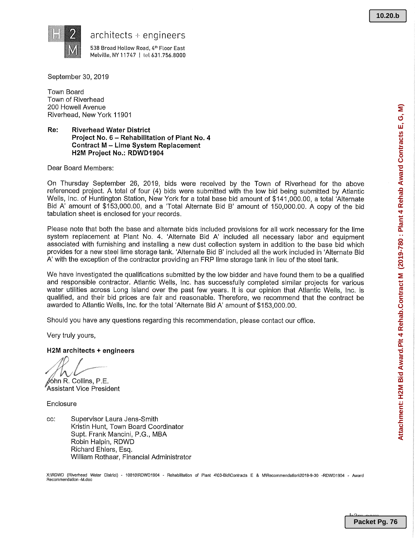

 $architects + engineering$ 

538 Broad Hollow Road, 4th Floor East Melville, NY 11747 | tel 631.756.8000

September 30, 2019

Town Board Town of Riverhead 200 Howell Avenue Riverhead, New York 11901

### Re: Riverhead Water District Project No. 6 - Rehabilitation of Plant No. 4 Contract M —Lime System Replacement H2M Project No.: RDWD1904

Dear Board Members:

On Thursday September 26, 2019, bids were received by the Town of Riverhead for the above referenced project. A total of four (4) bids were submitted with the low bid being submitted by Atlantic Wells, Inc. of Huntington Station, New York for a total base bid amount of \$141,000.00, a total `Alternate Bid A' amount of \$153,000.00, and a 'Total Alternate Bid B' amount of 150,000.00. A copy of the bid tabulation sheet is enclosed for your records.

Please note that both the base and alternate bids included provisions for all work necessary for the lime system replacement at Plant No. 4. 'Alternate Bid A' included all necessary labor and equipment associated with furnishing and installing a new dust collection system in addition to the base bid which provides for a new steel lime storage tank. `Alternate Bid B' included all the work included in 'Alternate Bid A' with the exception of the contractor providing an FRP lime storage tank in lieu of the steel tank,

We have investigated the qualifications submitted by the low bidder and have found them to be a qualified and responsible contractor. Atlantic Wells, Inc. has successfully completed similar projects for various water utilities across Long Island over the past few years. It is our opinion that Atlantic Wells, Inc. is qualified, and their bid prices are fair and reasonable. Therefore, we recommend that the contract be awarded to Atlantic Wells, Inc. for the total `Alternate Bid A' amount of \$153,000.00.

Should you have any questions regarding this recommendation, please contact our office.

Very truly yours,

H2M architects +engineers

 $\ell$ 6hn R. Collins, P.E.

Assistant Vice President

**Enclosure** 

cc: Supervisor Laura Jens-Smith Kristin Hunt, Town Board Coordinator Supt. Frank Mancini, P.G., MBA Robin Halpin, RDWD Richard Ehlers, Esq. William Rothaar, Financial Administrator

X:\RDWD (Riverhead Water District) - 108101ROWD1904 -Rehabilitation of Plant 4\03-BidlContracts E \$ M\Recommendalion12019-9-30 -RDWD1904 -Award Recommendation -M.doc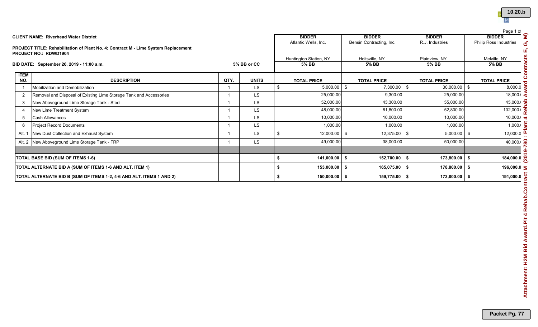| 10.20.b |
|---------|
|         |

| <b>BIDDER</b><br><b>BIDDER</b><br><b>BIDDER</b><br><b>CLIENT NAME: Riverhead Water District</b><br>Atlantic Wells, Inc.<br>Bensin Contracting, Inc.<br>R.J. Industries<br>PROJECT TITLE: Rehabilitation of Plant No. 4; Contract M - Lime System Replacement<br>PROJECT NO.: RDWD1904<br>Huntington Station, NY<br>Holtsville, NY<br>Plainview, NY<br>5% BB<br>5% BB<br>BID DATE: September 26, 2019 - 11:00 a.m.<br>5% BB or CC<br><b>5% BB</b><br><b>ITEM</b><br>NO.<br><b>DESCRIPTION</b><br>QTY.<br><b>UNITS</b><br><b>TOTAL PRICE</b><br><b>TOTAL PRICE</b><br><b>TOTAL PRICE</b><br>$5,000.00$ \$<br>$7,300.00$ \$<br>$30,000.00$ \$<br>Mobilization and Demobilization<br><b>LS</b><br>$\$\$<br>$\overline{1}$<br>$\overline{1}$<br>Removal and Disposal of Existing Lime Storage Tank and Accessories<br>$\overline{2}$<br><b>LS</b><br>25,000.00<br>9,300.00<br>25,000.00<br>$\overline{1}$<br>52,000.00<br>43,300.00<br>$\mathbf{3}$<br>New Aboveground Lime Storage Tank - Steel<br><b>LS</b><br>55,000.00<br>$\overline{1}$<br>LS<br>48,000.00<br>81,800.00<br>52,800.00<br>$\overline{4}$<br>New Lime Treatment System<br>$\overline{1}$<br>LS<br>10,000.00<br>10,000.00<br>10,000.00<br>$5\phantom{.0}$<br><b>Cash Allowances</b><br>$\overline{1}$<br>LS<br>Project Record Documents<br>1,000.00<br>1,000.00<br>1,000.00<br>6<br>$\overline{\mathbf{1}}$<br>$\boldsymbol{\mathsf{S}}$<br>$12,000.00$ \$<br>12,375.00<br>\$<br>$5,000.00$ \$<br>New Dust Collection and Exhaust System<br><b>LS</b><br>Alt. 1<br>$\overline{1}$<br>Alt. 2 New Aboveground Lime Storage Tank - FRP<br><b>LS</b><br>49,000.00<br>38,000.00<br>50,000.00<br>$\overline{1}$<br>\$<br>$141,000.00$ \$<br>\$<br>$173,800.00$ \$<br>152,700.00<br>TOTAL BASE BID (SUM OF ITEMS 1-6)<br>\$<br>153,000.00<br>165,075.00<br>\$<br>178,800.00<br>TOTAL ALTERNATE BID A (SUM OF ITEMS 1-6 AND ALT. ITEM 1)<br>\$<br>\$ | <b>BIDDER</b><br><b>Philip Ross Industries</b><br>Melville, NY<br>5% BB<br><b>TOTAL PRICE</b><br>8,000.0<br>$18,000 \cdot \epsilon$<br>45,000<br>102,000 $\frac{1}{2}$<br>10,000 |                 |                                       |                 |    |  |                                                                      |  |
|----------------------------------------------------------------------------------------------------------------------------------------------------------------------------------------------------------------------------------------------------------------------------------------------------------------------------------------------------------------------------------------------------------------------------------------------------------------------------------------------------------------------------------------------------------------------------------------------------------------------------------------------------------------------------------------------------------------------------------------------------------------------------------------------------------------------------------------------------------------------------------------------------------------------------------------------------------------------------------------------------------------------------------------------------------------------------------------------------------------------------------------------------------------------------------------------------------------------------------------------------------------------------------------------------------------------------------------------------------------------------------------------------------------------------------------------------------------------------------------------------------------------------------------------------------------------------------------------------------------------------------------------------------------------------------------------------------------------------------------------------------------------------------------------------------------------------------------------------------------------------------------------------------|----------------------------------------------------------------------------------------------------------------------------------------------------------------------------------|-----------------|---------------------------------------|-----------------|----|--|----------------------------------------------------------------------|--|
|                                                                                                                                                                                                                                                                                                                                                                                                                                                                                                                                                                                                                                                                                                                                                                                                                                                                                                                                                                                                                                                                                                                                                                                                                                                                                                                                                                                                                                                                                                                                                                                                                                                                                                                                                                                                                                                                                                          |                                                                                                                                                                                  |                 |                                       |                 |    |  |                                                                      |  |
|                                                                                                                                                                                                                                                                                                                                                                                                                                                                                                                                                                                                                                                                                                                                                                                                                                                                                                                                                                                                                                                                                                                                                                                                                                                                                                                                                                                                                                                                                                                                                                                                                                                                                                                                                                                                                                                                                                          |                                                                                                                                                                                  |                 |                                       |                 |    |  |                                                                      |  |
|                                                                                                                                                                                                                                                                                                                                                                                                                                                                                                                                                                                                                                                                                                                                                                                                                                                                                                                                                                                                                                                                                                                                                                                                                                                                                                                                                                                                                                                                                                                                                                                                                                                                                                                                                                                                                                                                                                          |                                                                                                                                                                                  |                 |                                       |                 |    |  |                                                                      |  |
|                                                                                                                                                                                                                                                                                                                                                                                                                                                                                                                                                                                                                                                                                                                                                                                                                                                                                                                                                                                                                                                                                                                                                                                                                                                                                                                                                                                                                                                                                                                                                                                                                                                                                                                                                                                                                                                                                                          |                                                                                                                                                                                  |                 |                                       |                 |    |  |                                                                      |  |
|                                                                                                                                                                                                                                                                                                                                                                                                                                                                                                                                                                                                                                                                                                                                                                                                                                                                                                                                                                                                                                                                                                                                                                                                                                                                                                                                                                                                                                                                                                                                                                                                                                                                                                                                                                                                                                                                                                          |                                                                                                                                                                                  |                 |                                       |                 |    |  |                                                                      |  |
|                                                                                                                                                                                                                                                                                                                                                                                                                                                                                                                                                                                                                                                                                                                                                                                                                                                                                                                                                                                                                                                                                                                                                                                                                                                                                                                                                                                                                                                                                                                                                                                                                                                                                                                                                                                                                                                                                                          |                                                                                                                                                                                  |                 |                                       |                 |    |  |                                                                      |  |
|                                                                                                                                                                                                                                                                                                                                                                                                                                                                                                                                                                                                                                                                                                                                                                                                                                                                                                                                                                                                                                                                                                                                                                                                                                                                                                                                                                                                                                                                                                                                                                                                                                                                                                                                                                                                                                                                                                          |                                                                                                                                                                                  |                 |                                       |                 |    |  |                                                                      |  |
|                                                                                                                                                                                                                                                                                                                                                                                                                                                                                                                                                                                                                                                                                                                                                                                                                                                                                                                                                                                                                                                                                                                                                                                                                                                                                                                                                                                                                                                                                                                                                                                                                                                                                                                                                                                                                                                                                                          |                                                                                                                                                                                  |                 |                                       |                 |    |  |                                                                      |  |
|                                                                                                                                                                                                                                                                                                                                                                                                                                                                                                                                                                                                                                                                                                                                                                                                                                                                                                                                                                                                                                                                                                                                                                                                                                                                                                                                                                                                                                                                                                                                                                                                                                                                                                                                                                                                                                                                                                          |                                                                                                                                                                                  |                 |                                       |                 |    |  |                                                                      |  |
|                                                                                                                                                                                                                                                                                                                                                                                                                                                                                                                                                                                                                                                                                                                                                                                                                                                                                                                                                                                                                                                                                                                                                                                                                                                                                                                                                                                                                                                                                                                                                                                                                                                                                                                                                                                                                                                                                                          |                                                                                                                                                                                  |                 |                                       |                 |    |  |                                                                      |  |
|                                                                                                                                                                                                                                                                                                                                                                                                                                                                                                                                                                                                                                                                                                                                                                                                                                                                                                                                                                                                                                                                                                                                                                                                                                                                                                                                                                                                                                                                                                                                                                                                                                                                                                                                                                                                                                                                                                          | 1,000.                                                                                                                                                                           |                 |                                       |                 |    |  |                                                                      |  |
|                                                                                                                                                                                                                                                                                                                                                                                                                                                                                                                                                                                                                                                                                                                                                                                                                                                                                                                                                                                                                                                                                                                                                                                                                                                                                                                                                                                                                                                                                                                                                                                                                                                                                                                                                                                                                                                                                                          | $12,000.0$ $\overline{a}$                                                                                                                                                        |                 |                                       |                 |    |  |                                                                      |  |
|                                                                                                                                                                                                                                                                                                                                                                                                                                                                                                                                                                                                                                                                                                                                                                                                                                                                                                                                                                                                                                                                                                                                                                                                                                                                                                                                                                                                                                                                                                                                                                                                                                                                                                                                                                                                                                                                                                          | $40,000 \cdot \frac{6}{90}$                                                                                                                                                      |                 |                                       |                 |    |  |                                                                      |  |
|                                                                                                                                                                                                                                                                                                                                                                                                                                                                                                                                                                                                                                                                                                                                                                                                                                                                                                                                                                                                                                                                                                                                                                                                                                                                                                                                                                                                                                                                                                                                                                                                                                                                                                                                                                                                                                                                                                          | 184,000.0 $\frac{1}{N}$                                                                                                                                                          |                 |                                       |                 |    |  |                                                                      |  |
|                                                                                                                                                                                                                                                                                                                                                                                                                                                                                                                                                                                                                                                                                                                                                                                                                                                                                                                                                                                                                                                                                                                                                                                                                                                                                                                                                                                                                                                                                                                                                                                                                                                                                                                                                                                                                                                                                                          | 196,000.05                                                                                                                                                                       |                 |                                       |                 |    |  |                                                                      |  |
|                                                                                                                                                                                                                                                                                                                                                                                                                                                                                                                                                                                                                                                                                                                                                                                                                                                                                                                                                                                                                                                                                                                                                                                                                                                                                                                                                                                                                                                                                                                                                                                                                                                                                                                                                                                                                                                                                                          | 191,000.0                                                                                                                                                                        | $173,800.00$ \$ | $\sqrt[6]{\frac{1}{2}}$<br>159,775.00 | $150,000.00$ \$ | \$ |  | TOTAL ALTERNATE BID B (SUM OF ITEMS 1-2, 4-6 AND ALT. ITEMS 1 AND 2) |  |
|                                                                                                                                                                                                                                                                                                                                                                                                                                                                                                                                                                                                                                                                                                                                                                                                                                                                                                                                                                                                                                                                                                                                                                                                                                                                                                                                                                                                                                                                                                                                                                                                                                                                                                                                                                                                                                                                                                          |                                                                                                                                                                                  |                 |                                       |                 |    |  |                                                                      |  |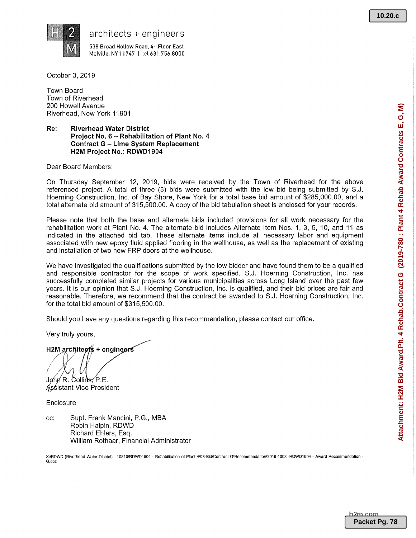

 $architects + engineering$ 

538 Broad Hollow Road, 4'h Floor East Melville, NY 11747 | tel 631.756.8000

October 3, 2019

Town Board Town of Riverhead 200 Howell Avenue Riverhead, New York 11901

### Re: Riverhead Water District Project No. 6 —Rehabilitation of Plant No. 4 Contract G —Lime System Replacement H2M Project No.: RDWD1904

Dear Board Members:

On Thursday September 12, 2019, bids were received by the Town of Riverhead for the above referenced project. A total of three (3) bids were submitted with the low bid being submitted by S.J. Hoerning Construction, Inc. of Bay Shore, New York for a total base bid amount of \$285,000.00, and a total alternate bid amount of 315,500.00. A copy of the bid tabulation sheet is enclosed for your records.

Please note that both the base and alternate bids included provisions for all work necessary for the rehabilitation work at Plant No. 4. The alternate bid includes Alternate Item Nos. 1, 3, 5, 10, and 11 as indicated in the attached bid tab. These alternate items include all necessary labor and equipment associated with new epoxy fluid applied flooring in the wellhouse, as well as the replacement of existing and installation of two new FRP doors at the welihouse.

We have investigated the qualifications submitted by the low bidder and have found them to be a qualified and responsible contractor for the scope of work specified. S.J. Hoerning Construction, Inc. has successfully completed similar projects for various municipalities across Long Island over the past few years. It is our opinion that S.J. Hoerning Construction, Inc. is qualified, and their bid prices are fair and reasonable. Therefore, we recommend that the contract be awarded to S.J. Hoerning Construction, Inc. for the total bid amount of \$315,500.00.

Should you have any questions regarding this recommendation, please contact our office.

Very truly yours,

H2M architects + engineers

 $\angle$   $V$   $V$ r ;f John R. Collins, P.E.

Assistant Vice President

Enclosure

cc: Supt. Frank Mancini, P.G., MBA Robin Halpin, RDWD Richard Ehlers, Esq. William Rothaar, Financial Administrator

X:\RDWD (Riverhead Water District) - 10810\RDWD1904 - Rehabilitation of Plant 4\03-Bid\Contract G\Recommendation\2019-1003 -RDWD1904 - Award Recommendation -G.doc